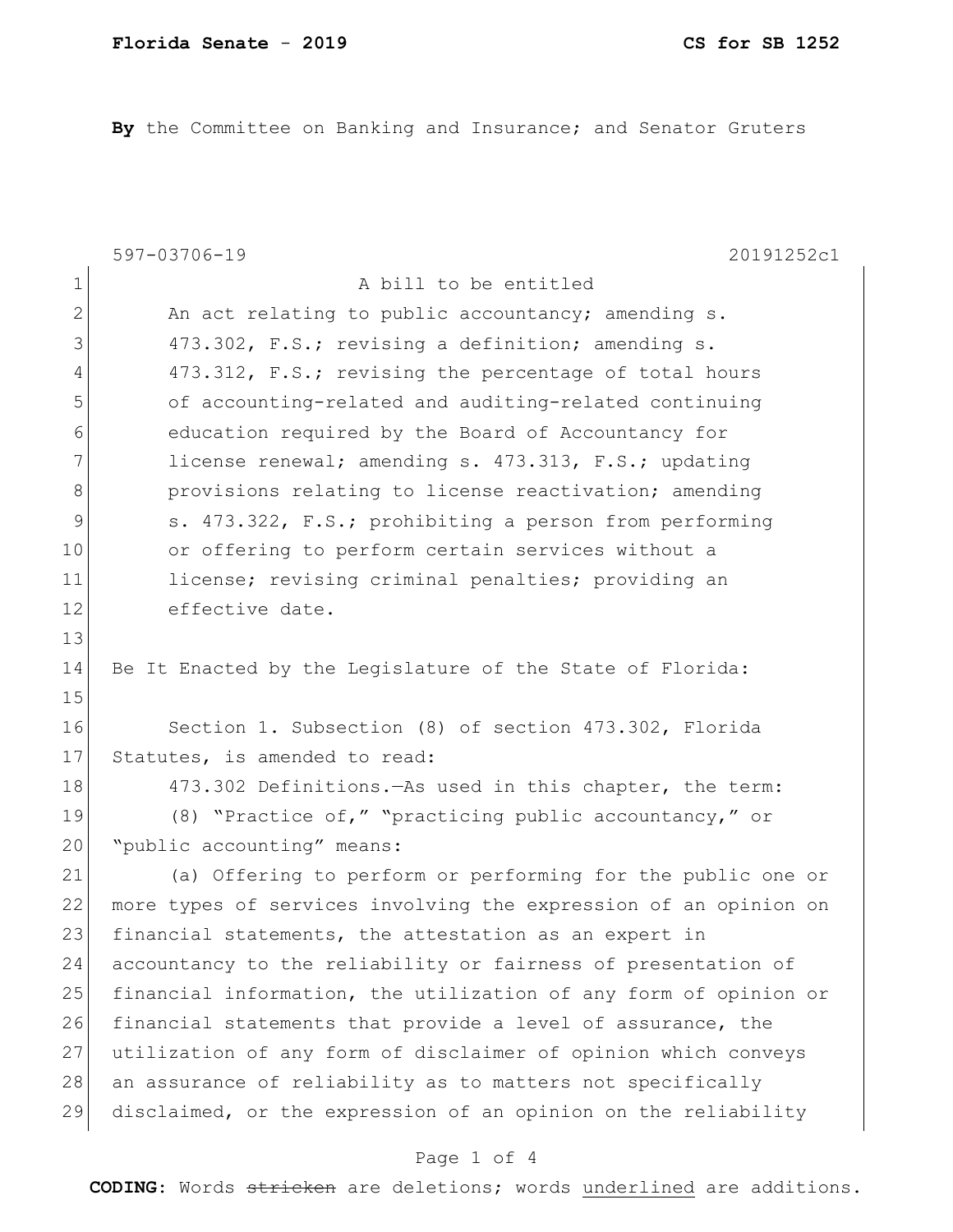**By** the Committee on Banking and Insurance; and Senator Gruters

|                | 597-03706-19<br>20191252c1                                       |
|----------------|------------------------------------------------------------------|
| $\mathbf 1$    | A bill to be entitled                                            |
| $\overline{2}$ | An act relating to public accountancy; amending s.               |
| 3              | 473.302, F.S.; revising a definition; amending s.                |
| 4              | 473.312, F.S.; revising the percentage of total hours            |
| 5              | of accounting-related and auditing-related continuing            |
| 6              | education required by the Board of Accountancy for               |
| 7              | license renewal; amending s. 473.313, F.S.; updating             |
| 8              | provisions relating to license reactivation; amending            |
| 9              | s. 473.322, F.S.; prohibiting a person from performing           |
| 10             | or offering to perform certain services without a                |
| 11             | license; revising criminal penalties; providing an               |
| 12             | effective date.                                                  |
| 13             |                                                                  |
| 14             | Be It Enacted by the Legislature of the State of Florida:        |
| 15             |                                                                  |
| 16             | Section 1. Subsection (8) of section 473.302, Florida            |
| 17             | Statutes, is amended to read:                                    |
| 18             | 473.302 Definitions. - As used in this chapter, the term:        |
| 19             | (8) "Practice of," "practicing public accountancy," or           |
| 20             | "public accounting" means:                                       |
| 21             | (a) Offering to perform or performing for the public one or      |
| 22             | more types of services involving the expression of an opinion on |
| 23             | financial statements, the attestation as an expert in            |
| 24             | accountancy to the reliability or fairness of presentation of    |
| 25             | financial information, the utilization of any form of opinion or |
| 26             | financial statements that provide a level of assurance, the      |
| 27             | utilization of any form of disclaimer of opinion which conveys   |
| 28             | an assurance of reliability as to matters not specifically       |
| 29             | disclaimed, or the expression of an opinion on the reliability   |
|                | Page 1 of 4                                                      |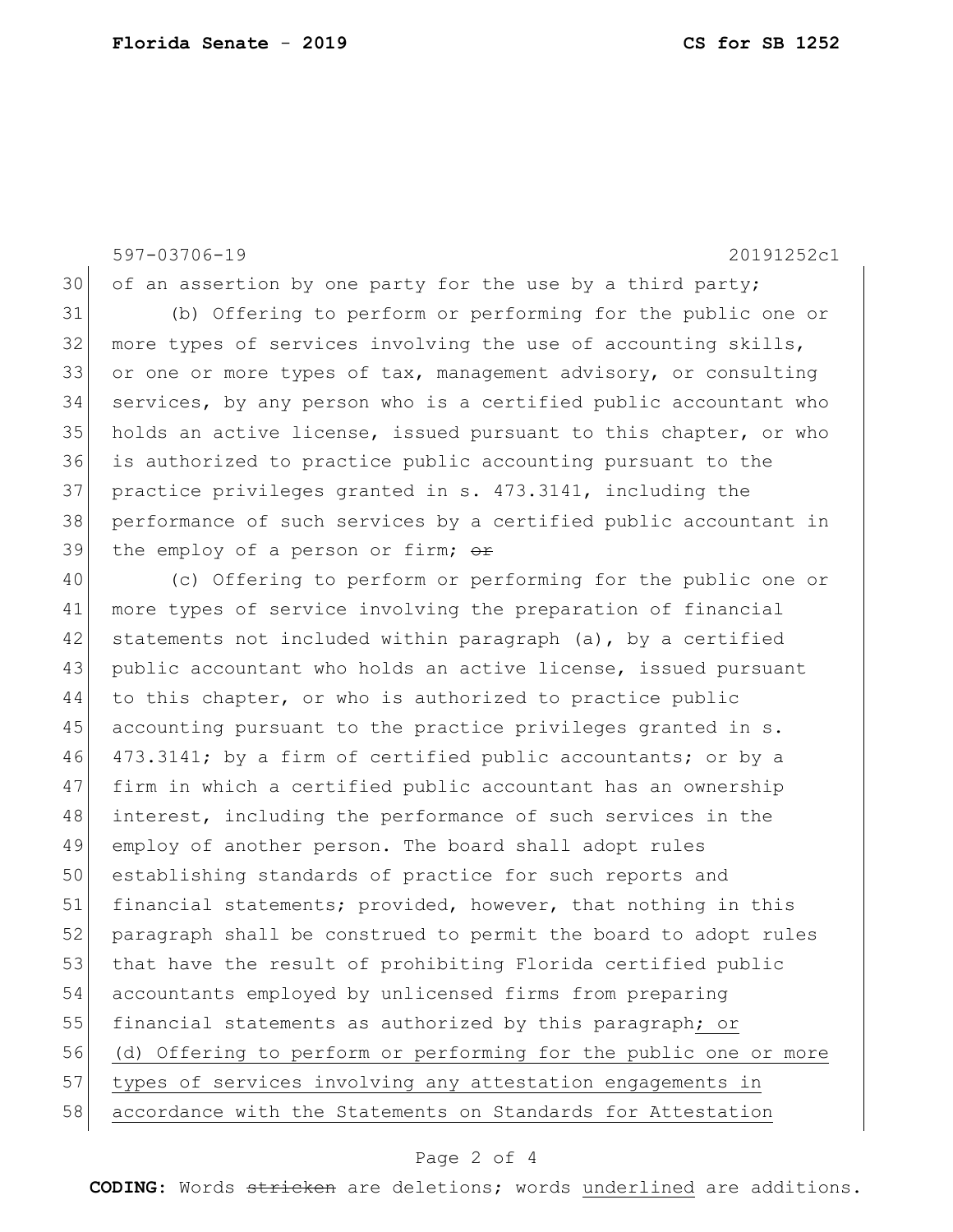597-03706-19 20191252c1

of an assertion by one party for the use by a third party;

 (b) Offering to perform or performing for the public one or 32 more types of services involving the use of accounting skills, 33 or one or more types of tax, management advisory, or consulting services, by any person who is a certified public accountant who holds an active license, issued pursuant to this chapter, or who is authorized to practice public accounting pursuant to the practice privileges granted in s. 473.3141, including the performance of such services by a certified public accountant in 39 the employ of a person or firm; or

 (c) Offering to perform or performing for the public one or 41 | more types of service involving the preparation of financial 42 statements not included within paragraph (a), by a certified public accountant who holds an active license, issued pursuant to this chapter, or who is authorized to practice public accounting pursuant to the practice privileges granted in s. 473.3141; by a firm of certified public accountants; or by a firm in which a certified public accountant has an ownership interest, including the performance of such services in the employ of another person. The board shall adopt rules 50 establishing standards of practice for such reports and 51 financial statements; provided, however, that nothing in this paragraph shall be construed to permit the board to adopt rules 53 that have the result of prohibiting Florida certified public accountants employed by unlicensed firms from preparing 55 financial statements as authorized by this paragraph; or (d) Offering to perform or performing for the public one or more types of services involving any attestation engagements in accordance with the Statements on Standards for Attestation

## Page 2 of 4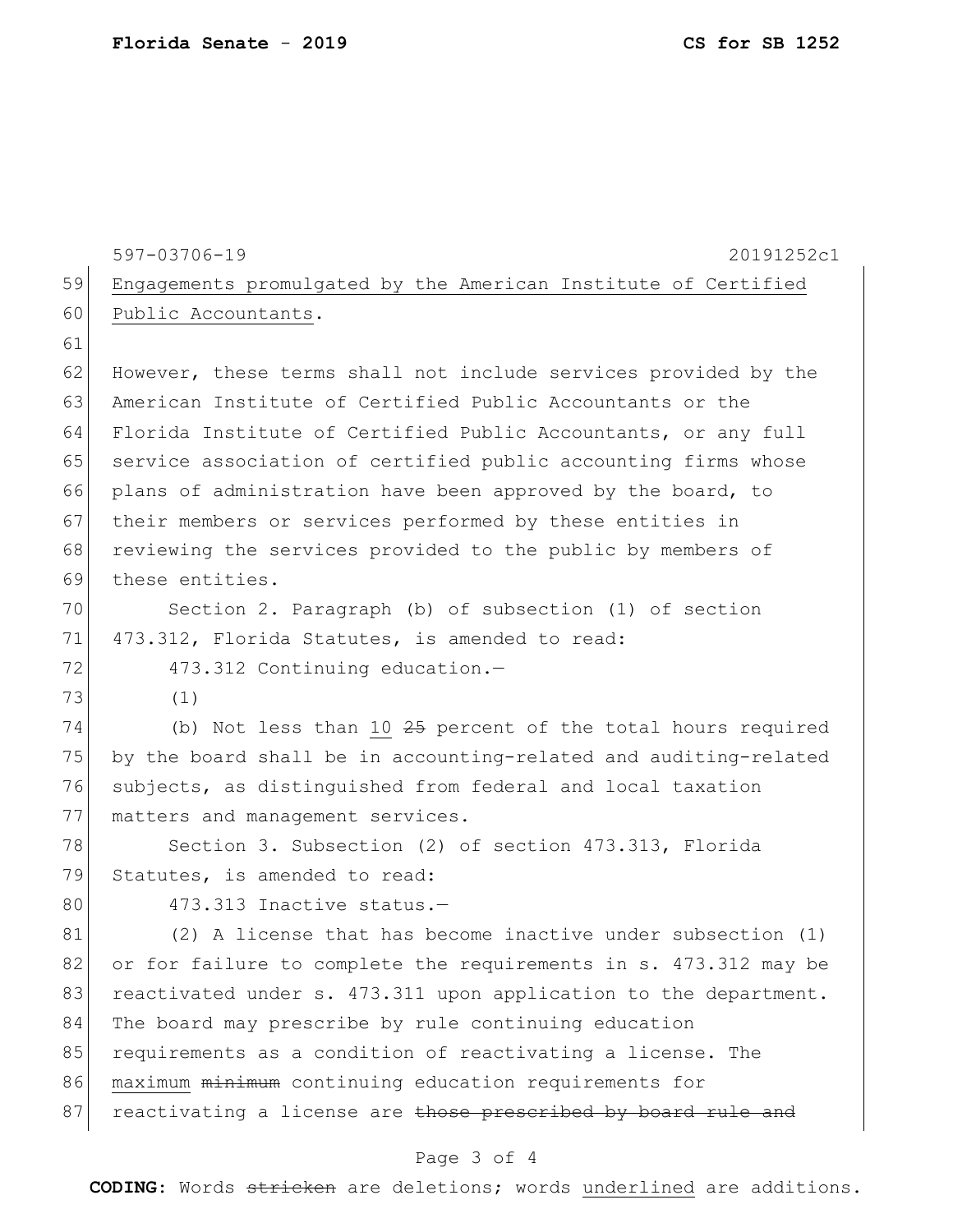| 59 | 597-03706-19<br>20191252c1                                       |
|----|------------------------------------------------------------------|
| 60 | Engagements promulgated by the American Institute of Certified   |
| 61 | Public Accountants.                                              |
|    |                                                                  |
| 62 | However, these terms shall not include services provided by the  |
| 63 | American Institute of Certified Public Accountants or the        |
| 64 | Florida Institute of Certified Public Accountants, or any full   |
| 65 | service association of certified public accounting firms whose   |
| 66 | plans of administration have been approved by the board, to      |
| 67 | their members or services performed by these entities in         |
| 68 | reviewing the services provided to the public by members of      |
| 69 | these entities.                                                  |
| 70 | Section 2. Paragraph (b) of subsection (1) of section            |
| 71 | 473.312, Florida Statutes, is amended to read:                   |
| 72 | 473.312 Continuing education.-                                   |
| 73 | (1)                                                              |
| 74 | (b) Not less than 10 25 percent of the total hours required      |
| 75 | by the board shall be in accounting-related and auditing-related |
| 76 | subjects, as distinguished from federal and local taxation       |
| 77 | matters and management services.                                 |
| 78 | Section 3. Subsection (2) of section 473.313, Florida            |
| 79 | Statutes, is amended to read:                                    |
| 80 | 473.313 Inactive status.-                                        |
| 81 | (2) A license that has become inactive under subsection (1)      |
| 82 | or for failure to complete the requirements in s. 473.312 may be |
| 83 | reactivated under s. 473.311 upon application to the department. |
| 84 | The board may prescribe by rule continuing education             |
| 85 | requirements as a condition of reactivating a license. The       |
| 86 | maximum minimum continuing education requirements for            |
| 87 | reactivating a license are those prescribed by board rule and    |
|    |                                                                  |

## Page 3 of 4